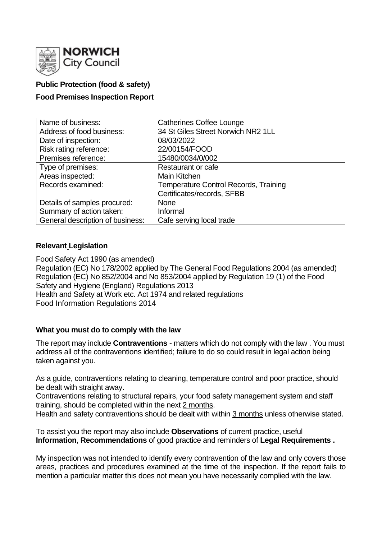

## **Public Protection (food & safety)**

### **Food Premises Inspection Report**

| Name of business:                | <b>Catherines Coffee Lounge</b>              |
|----------------------------------|----------------------------------------------|
| Address of food business:        | 34 St Giles Street Norwich NR2 1LL           |
| Date of inspection:              | 08/03/2022                                   |
| Risk rating reference:           | 22/00154/FOOD                                |
| Premises reference:              | 15480/0034/0/002                             |
| Type of premises:                | Restaurant or cafe                           |
| Areas inspected:                 | Main Kitchen                                 |
| Records examined:                | <b>Temperature Control Records, Training</b> |
|                                  | Certificates/records, SFBB                   |
| Details of samples procured:     | <b>None</b>                                  |
| Summary of action taken:         | Informal                                     |
| General description of business: | Cafe serving local trade                     |

#### **Relevant Legislation**

Food Safety Act 1990 (as amended) Regulation (EC) No 178/2002 applied by The General Food Regulations 2004 (as amended) Regulation (EC) No 852/2004 and No 853/2004 applied by Regulation 19 (1) of the Food Safety and Hygiene (England) Regulations 2013 Health and Safety at Work etc. Act 1974 and related regulations Food Information Regulations 2014

### **What you must do to comply with the law**

The report may include **Contraventions** - matters which do not comply with the law . You must address all of the contraventions identified; failure to do so could result in legal action being taken against you.

As a guide, contraventions relating to cleaning, temperature control and poor practice, should be dealt with straight away.

Contraventions relating to structural repairs, your food safety management system and staff training, should be completed within the next 2 months.

Health and safety contraventions should be dealt with within 3 months unless otherwise stated.

To assist you the report may also include **Observations** of current practice, useful **Information**, **Recommendations** of good practice and reminders of **Legal Requirements .**

My inspection was not intended to identify every contravention of the law and only covers those areas, practices and procedures examined at the time of the inspection. If the report fails to mention a particular matter this does not mean you have necessarily complied with the law.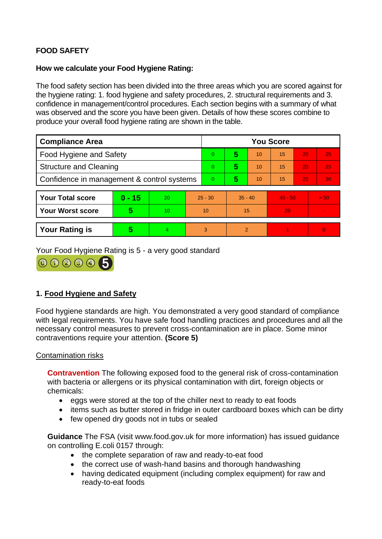# **FOOD SAFETY**

### **How we calculate your Food Hygiene Rating:**

The food safety section has been divided into the three areas which you are scored against for the hygiene rating: 1. food hygiene and safety procedures, 2. structural requirements and 3. confidence in management/control procedures. Each section begins with a summary of what was observed and the score you have been given. Details of how these scores combine to produce your overall food hygiene rating are shown in the table.

| <b>Compliance Area</b>                     |          |    |           | <b>You Score</b> |           |    |           |    |          |  |  |
|--------------------------------------------|----------|----|-----------|------------------|-----------|----|-----------|----|----------|--|--|
| Food Hygiene and Safety                    |          |    |           | 0                | 5         | 10 | 15        | 20 | 25       |  |  |
| <b>Structure and Cleaning</b>              |          |    | 0         | 5                | 10        | 15 | 20        | 25 |          |  |  |
| Confidence in management & control systems |          |    | 0         | 5                | 10        | 15 | 20        | 30 |          |  |  |
|                                            |          |    |           |                  |           |    |           |    |          |  |  |
| <b>Your Total score</b>                    | $0 - 15$ | 20 | $25 - 30$ |                  | $35 - 40$ |    | $45 - 50$ |    | > 50     |  |  |
| <b>Your Worst score</b>                    | 5        | 10 | 10        |                  | 15        |    | 20        |    |          |  |  |
|                                            |          |    |           |                  |           |    |           |    |          |  |  |
| <b>Your Rating is</b>                      | 5        | 4  |           | 3                | 2         |    |           |    | $\Omega$ |  |  |

Your Food Hygiene Rating is 5 - a very good standard



# **1. Food Hygiene and Safety**

Food hygiene standards are high. You demonstrated a very good standard of compliance with legal requirements. You have safe food handling practices and procedures and all the necessary control measures to prevent cross-contamination are in place. Some minor contraventions require your attention. **(Score 5)**

### Contamination risks

**Contravention** The following exposed food to the general risk of cross-contamination with bacteria or allergens or its physical contamination with dirt, foreign objects or chemicals:

- eggs were stored at the top of the chiller next to ready to eat foods
- items such as butter stored in fridge in outer cardboard boxes which can be dirty
- few opened dry goods not in tubs or sealed

**Guidance** The FSA (visit www.food.gov.uk for more information) has issued guidance on controlling E.coli 0157 through:

- the complete separation of raw and ready-to-eat food
- the correct use of wash-hand basins and thorough handwashing
- having dedicated equipment (including complex equipment) for raw and ready-to-eat foods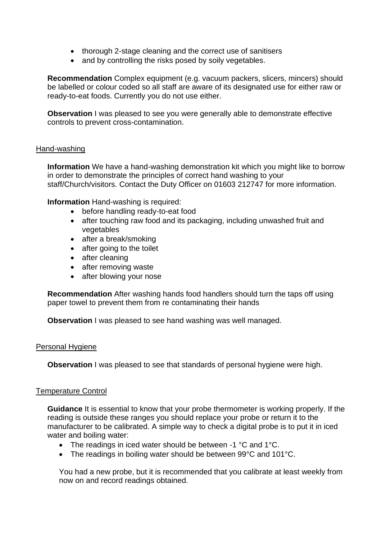- thorough 2-stage cleaning and the correct use of sanitisers
- and by controlling the risks posed by soily vegetables.

**Recommendation** Complex equipment (e.g. vacuum packers, slicers, mincers) should be labelled or colour coded so all staff are aware of its designated use for either raw or ready-to-eat foods. Currently you do not use either.

**Observation** I was pleased to see you were generally able to demonstrate effective controls to prevent cross-contamination.

### Hand-washing

**Information** We have a hand-washing demonstration kit which you might like to borrow in order to demonstrate the principles of correct hand washing to your staff/Church/visitors. Contact the Duty Officer on 01603 212747 for more information.

**Information** Hand-washing is required:

- before handling ready-to-eat food
- after touching raw food and its packaging, including unwashed fruit and vegetables
- after a break/smoking
- after going to the toilet
- after cleaning
- after removing waste
- after blowing your nose

**Recommendation** After washing hands food handlers should turn the taps off using paper towel to prevent them from re contaminating their hands

**Observation** I was pleased to see hand washing was well managed.

### Personal Hygiene

**Observation** I was pleased to see that standards of personal hygiene were high.

#### Temperature Control

**Guidance** It is essential to know that your probe thermometer is working properly. If the reading is outside these ranges you should replace your probe or return it to the manufacturer to be calibrated. A simple way to check a digital probe is to put it in iced water and boiling water:

- The readings in iced water should be between -1 °C and 1°C.
- The readings in boiling water should be between 99°C and 101°C.

You had a new probe, but it is recommended that you calibrate at least weekly from now on and record readings obtained.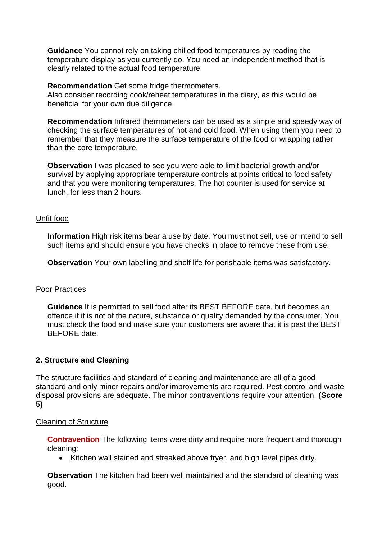**Guidance** You cannot rely on taking chilled food temperatures by reading the temperature display as you currently do. You need an independent method that is clearly related to the actual food temperature.

#### **Recommendation** Get some fridge thermometers.

Also consider recording cook/reheat temperatures in the diary, as this would be beneficial for your own due diligence.

**Recommendation** Infrared thermometers can be used as a simple and speedy way of checking the surface temperatures of hot and cold food. When using them you need to remember that they measure the surface temperature of the food or wrapping rather than the core temperature.

**Observation** I was pleased to see you were able to limit bacterial growth and/or survival by applying appropriate temperature controls at points critical to food safety and that you were monitoring temperatures. The hot counter is used for service at lunch, for less than 2 hours.

#### Unfit food

**Information** High risk items bear a use by date. You must not sell, use or intend to sell such items and should ensure you have checks in place to remove these from use.

**Observation** Your own labelling and shelf life for perishable items was satisfactory.

### Poor Practices

**Guidance** It is permitted to sell food after its BEST BEFORE date, but becomes an offence if it is not of the nature, substance or quality demanded by the consumer. You must check the food and make sure your customers are aware that it is past the BEST BEFORE date.

### **2. Structure and Cleaning**

The structure facilities and standard of cleaning and maintenance are all of a good standard and only minor repairs and/or improvements are required. Pest control and waste disposal provisions are adequate. The minor contraventions require your attention. **(Score 5)**

#### Cleaning of Structure

**Contravention** The following items were dirty and require more frequent and thorough cleaning:

• Kitchen wall stained and streaked above fryer, and high level pipes dirty.

**Observation** The kitchen had been well maintained and the standard of cleaning was good.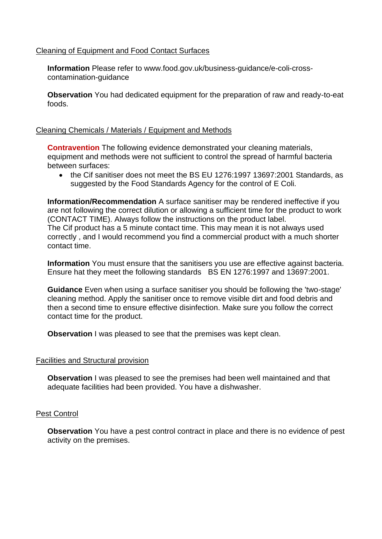### Cleaning of Equipment and Food Contact Surfaces

**Information** Please refer to www.food.gov.uk/business-guidance/e-coli-crosscontamination-guidance

**Observation** You had dedicated equipment for the preparation of raw and ready-to-eat foods.

#### Cleaning Chemicals / Materials / Equipment and Methods

**Contravention** The following evidence demonstrated your cleaning materials, equipment and methods were not sufficient to control the spread of harmful bacteria between surfaces:

• the Cif sanitiser does not meet the BS EU 1276:1997 13697:2001 Standards, as suggested by the Food Standards Agency for the control of E Coli.

**Information/Recommendation** A surface sanitiser may be rendered ineffective if you are not following the correct dilution or allowing a sufficient time for the product to work (CONTACT TIME). Always follow the instructions on the product label. The Cif product has a 5 minute contact time. This may mean it is not always used correctly , and I would recommend you find a commercial product with a much shorter contact time.

**Information** You must ensure that the sanitisers you use are effective against bacteria. Ensure hat they meet the following standards BS EN 1276:1997 and 13697:2001.

**Guidance** Even when using a surface sanitiser you should be following the 'two-stage' cleaning method. Apply the sanitiser once to remove visible dirt and food debris and then a second time to ensure effective disinfection. Make sure you follow the correct contact time for the product.

**Observation** I was pleased to see that the premises was kept clean.

#### Facilities and Structural provision

**Observation** I was pleased to see the premises had been well maintained and that adequate facilities had been provided. You have a dishwasher.

#### Pest Control

**Observation** You have a pest control contract in place and there is no evidence of pest activity on the premises.